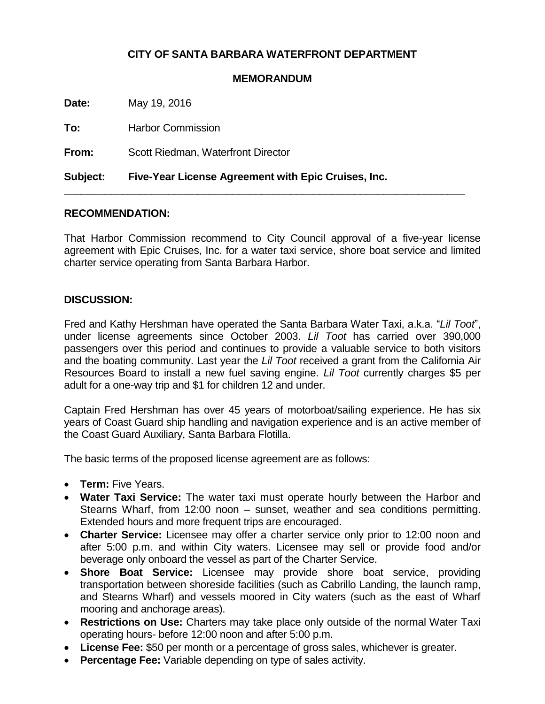## **CITY OF SANTA BARBARA WATERFRONT DEPARTMENT**

## **MEMORANDUM**

**Date:** May 19, 2016

**To:** Harbor Commission

**From:** Scott Riedman, Waterfront Director

**Subject: Five-Year License Agreement with Epic Cruises, Inc.**

## **RECOMMENDATION:**

That Harbor Commission recommend to City Council approval of a five-year license agreement with Epic Cruises, Inc. for a water taxi service, shore boat service and limited charter service operating from Santa Barbara Harbor.

\_\_\_\_\_\_\_\_\_\_\_\_\_\_\_\_\_\_\_\_\_\_\_\_\_\_\_\_\_\_\_\_\_\_\_\_\_\_\_\_\_\_\_\_\_\_\_\_\_\_\_\_\_\_\_\_\_\_\_\_\_\_\_\_\_\_\_\_\_

## **DISCUSSION:**

Fred and Kathy Hershman have operated the Santa Barbara Water Taxi, a.k.a. "*Lil Toot*", under license agreements since October 2003. *Lil Toot* has carried over 390,000 passengers over this period and continues to provide a valuable service to both visitors and the boating community. Last year the *Lil Toot* received a grant from the California Air Resources Board to install a new fuel saving engine. *Lil Toot* currently charges \$5 per adult for a one-way trip and \$1 for children 12 and under.

Captain Fred Hershman has over 45 years of motorboat/sailing experience. He has six years of Coast Guard ship handling and navigation experience and is an active member of the Coast Guard Auxiliary, Santa Barbara Flotilla.

The basic terms of the proposed license agreement are as follows:

- **Term:** Five Years.
- **Water Taxi Service:** The water taxi must operate hourly between the Harbor and Stearns Wharf, from 12:00 noon – sunset, weather and sea conditions permitting. Extended hours and more frequent trips are encouraged.
- **Charter Service:** Licensee may offer a charter service only prior to 12:00 noon and after 5:00 p.m. and within City waters. Licensee may sell or provide food and/or beverage only onboard the vessel as part of the Charter Service.
- **Shore Boat Service:** Licensee may provide shore boat service, providing transportation between shoreside facilities (such as Cabrillo Landing, the launch ramp, and Stearns Wharf) and vessels moored in City waters (such as the east of Wharf mooring and anchorage areas).
- **Restrictions on Use:** Charters may take place only outside of the normal Water Taxi operating hours- before 12:00 noon and after 5:00 p.m.
- **License Fee:** \$50 per month or a percentage of gross sales, whichever is greater.
- **Percentage Fee:** Variable depending on type of sales activity.